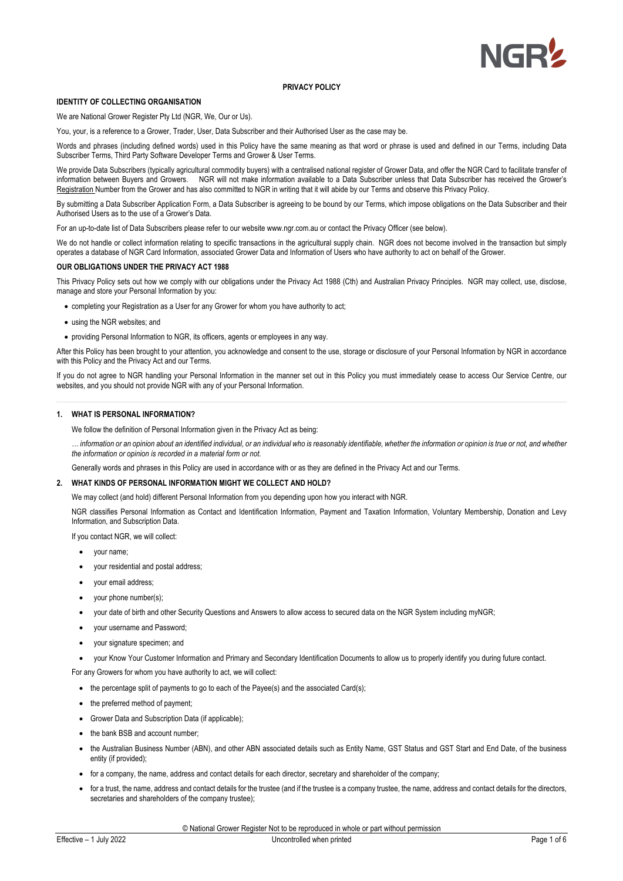

#### **IDENTITY OF COLLECTING ORGANISATION**

We are National Grower Register Pty Ltd (NGR, We, Our or Us).

You, your, is a reference to a Grower, Trader, User, Data Subscriber and their Authorised User as the case may be.

Words and phrases (including defined words) used in this Policy have the same meaning as that word or phrase is used and defined in our Terms, including Data Subscriber Terms, Third Party Software Developer Terms and Grower & User Terms.

We provide Data Subscribers (typically agricultural commodity buyers) with a centralised national register of Grower Data, and offer the NGR Card to facilitate transfer of information between Buyers and Growers. NGR will not make information available to a Data Subscriber unless that Data Subscriber has received the Grower's Registration Number from the Grower and has also committed to NGR in writing that it will abide by our Terms and observe this Privacy Policy.

By submitting a Data Subscriber Application Form, a Data Subscriber is agreeing to be bound by our Terms, which impose obligations on the Data Subscriber and their Authorised Users as to the use of a Grower's Data.

or an up-to-date list of Data Subscribers please refer to our website www.ngr.com.au or contact the Privacy Officer (see below).

We do not handle or collect information relating to specific transactions in the agricultural supply chain. NGR does not become involved in the transaction but simply operates a database of NGR Card Information, associated Grower Data and Information of Users who have authority to act on behalf of the Grower.

#### **OUR OBLIGATIONS UNDER THE PRIVACY ACT 1988**

This Privacy Policy sets out how we comply with our obligations under the Privacy Act 1988 (Cth) and Australian Privacy Principles. NGR may collect, use, disclose, manage and store your Personal Information by you:

- completing your Registration as a User for any Grower for whom you have authority to act:
- using the NGR websites; and
- providing Personal Information to NGR, its officers, agents or employees in any way.

After this Policy has been brought to your attention, you acknowledge and consent to the use, storage or disclosure of your Personal Information by NGR in accordance with this Policy and the Privacy Act and our Terms.

If you do not agree to NGR handling your Personal Information in the manner set out in this Policy you must immediately cease to access Our Service Centre, our websites, and you should not provide NGR with any of your Personal Information.

## **1. WHAT IS PERSONAL INFORMATION?**

We follow the definition of Personal Information given in the Privacy Act as being:

*… information or an opinion about an identified individual, or an individual who is reasonably identifiable, whether the information or opinion is true or not, and whether the information or opinion is recorded in a material form or not.* 

Generally words and phrases in this Policy are used in accordance with or as they are defined in the Privacy Act and our Terms.

## **2. WHAT KINDS OF PERSONAL INFORMATION MIGHT WE COLLECT AND HOLD?**

We may collect (and hold) different Personal Information from you depending upon how you interact with NGR.

NGR classifies Personal Information as Contact and Identification Information, Payment and Taxation Information, Voluntary Membership, Donation and Levy Information, and Subscription Data.

If you contact NGR, we will collect:

- your name;
- your residential and postal address;
- your email address;
- your phone number(s);
- your date of birth and other Security Questions and Answers to allow access to secured data on the NGR System including myNGR;
- your username and Password;
- your signature specimen; and
- your Know Your Customer Information and Primary and Secondary Identification Documents to allow us to properly identify you during future contact.

For any Growers for whom you have authority to act, we will collect:

- the percentage split of payments to go to each of the Payee(s) and the associated Card(s);
- the preferred method of payment;
- Grower Data and Subscription Data (if applicable);
- the bank BSB and account number;
- the Australian Business Number (ABN), and other ABN associated details such as Entity Name, GST Status and GST Start and End Date, of the business entity (if provided);
- for a company, the name, address and contact details for each director, secretary and shareholder of the company;
- for a trust, the name, address and contact details for the trustee (and if the trustee is a company trustee, the name, address and contact details for the directors, secretaries and shareholders of the company trustee);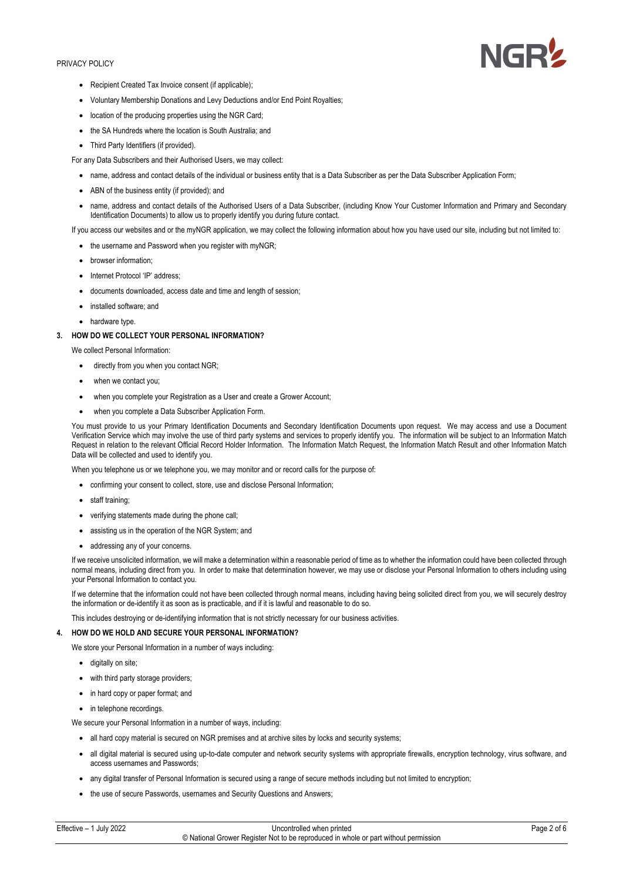

- Recipient Created Tax Invoice consent (if applicable);
- Voluntary Membership Donations and Levy Deductions and/or End Point Royalties;
- location of the producing properties using the NGR Card;
- the SA Hundreds where the location is South Australia; and
- Third Party Identifiers (if provided).

For any Data Subscribers and their Authorised Users, we may collect:

- name, address and contact details of the individual or business entity that is a Data Subscriber as per the Data Subscriber Application Form;
- ABN of the business entity (if provided); and
- name, address and contact details of the Authorised Users of a Data Subscriber, (including Know Your Customer Information and Primary and Secondary Identification Documents) to allow us to properly identify you during future contact.

If you access our websites and or the myNGR application, we may collect the following information about how you have used our site, including but not limited to:

- the username and Password when you register with myNGR;
- browser information:
- Internet Protocol 'IP' address:
- documents downloaded, access date and time and length of session;
- installed software; and
- hardware type

## **3. HOW DO WE COLLECT YOUR PERSONAL INFORMATION?**

We collect Personal Information:

- directly from you when you contact NGR;
- when we contact you;
- when you complete your Registration as a User and create a Grower Account;
- when you complete a Data Subscriber Application Form.

You must provide to us your Primary Identification Documents and Secondary Identification Documents upon request. We may access and use a Document Verification Service which may involve the use of third party systems and services to properly identify you. The information will be subject to an Information Match Request in relation to the relevant Official Record Holder Information. The Information Match Request, the Information Match Result and other Information Match Data will be collected and used to identify you.

When you telephone us or we telephone you, we may monitor and or record calls for the purpose of:

- confirming your consent to collect, store, use and disclose Personal Information;
- staff training;
- verifying statements made during the phone call;
- assisting us in the operation of the NGR System; and
- addressing any of your concerns.

If we receive unsolicited information, we will make a determination within a reasonable period of time as to whether the information could have been collected through normal means, including direct from you. In order to make that determination however, we may use or disclose your Personal Information to others including using your Personal Information to contact you.

If we determine that the information could not have been collected through normal means, including having being solicited direct from you, we will securely destroy the information or de-identify it as soon as is practicable, and if it is lawful and reasonable to do so.

This includes destroying or de-identifying information that is not strictly necessary for our business activities.

## **4. HOW DO WE HOLD AND SECURE YOUR PERSONAL INFORMATION?**

We store your Personal Information in a number of ways including:

- digitally on site;
- with third party storage providers;
- in hard copy or paper format; and
- in telephone recordings.

We secure your Personal Information in a number of ways, including:

- all hard copy material is secured on NGR premises and at archive sites by locks and security systems;
- all digital material is secured using up-to-date computer and network security systems with appropriate firewalls, encryption technology, virus software, and access usernames and Passwords;
- any digital transfer of Personal Information is secured using a range of secure methods including but not limited to encryption;
- the use of secure Passwords, usernames and Security Questions and Answers;

| Effective $-1$<br>1 July 2022 | Uncontrolled when printed                                                           | Page 2 of 6 |
|-------------------------------|-------------------------------------------------------------------------------------|-------------|
|                               | © National Grower Register Not to be reproduced in whole or part without permission |             |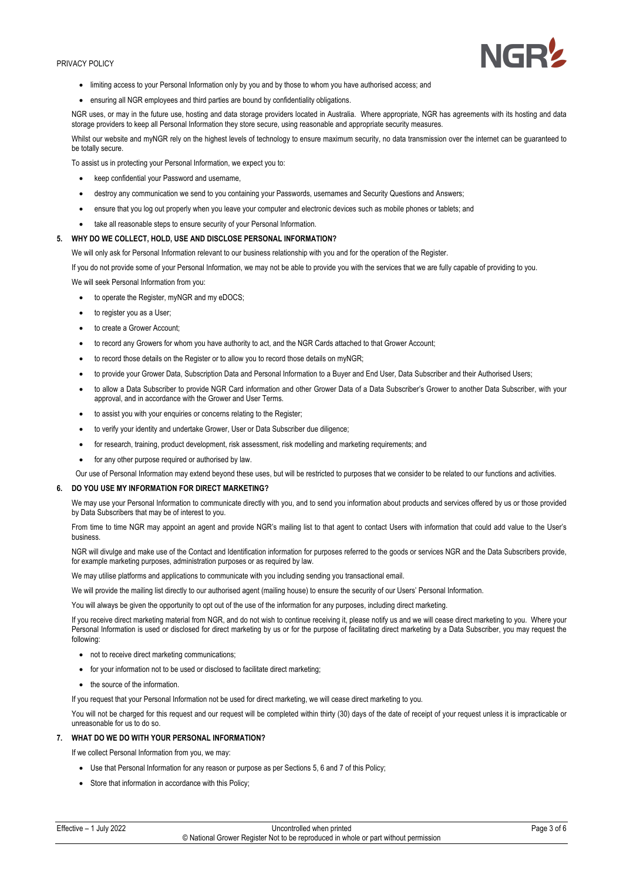

- limiting access to your Personal Information only by you and by those to whom you have authorised access; and
- ensuring all NGR employees and third parties are bound by confidentiality obligations.

NGR uses, or may in the future use, hosting and data storage providers located in Australia. Where appropriate, NGR has agreements with its hosting and data storage providers to keep all Personal Information they store secure, using reasonable and appropriate security measures.

Whilst our website and myNGR rely on the highest levels of technology to ensure maximum security, no data transmission over the internet can be guaranteed to be totally secure.

To assist us in protecting your Personal Information, we expect you to:

- keep confidential your Password and username,
- destroy any communication we send to you containing your Passwords, usernames and Security Questions and Answers;
- ensure that you log out properly when you leave your computer and electronic devices such as mobile phones or tablets; and
- take all reasonable steps to ensure security of your Personal Information.

## **5. WHY DO WE COLLECT, HOLD, USE AND DISCLOSE PERSONAL INFORMATION?**

We will only ask for Personal Information relevant to our business relationship with you and for the operation of the Register.

If you do not provide some of your Personal Information, we may not be able to provide you with the services that we are fully capable of providing to you.

We will seek Personal Information from you:

- to operate the Register, myNGR and my eDOCS;
- to register you as a User;
- to create a Grower Account;
- to record any Growers for whom you have authority to act, and the NGR Cards attached to that Grower Account;
- to record those details on the Register or to allow you to record those details on myNGR;
- to provide your Grower Data, Subscription Data and Personal Information to a Buyer and End User, Data Subscriber and their Authorised Users;
- to allow a Data Subscriber to provide NGR Card information and other Grower Data of a Data Subscriber's Grower to another Data Subscriber, with your approval, and in accordance with the Grower and User Terms.
- to assist you with your enquiries or concerns relating to the Register;
- to verify your identity and undertake Grower, User or Data Subscriber due diligence;
- for research, training, product development, risk assessment, risk modelling and marketing requirements; and
- for any other purpose required or authorised by law.
- Our use of Personal Information may extend beyond these uses, but will be restricted to purposes that we consider to be related to our functions and activities.

#### **6. DO YOU USE MY INFORMATION FOR DIRECT MARKETING?**

We may use your Personal Information to communicate directly with you, and to send you information about products and services offered by us or those provided by Data Subscribers that may be of interest to you.

From time to time NGR may appoint an agent and provide NGR's mailing list to that agent to contact Users with information that could add value to the User's business.

NGR will divulge and make use of the Contact and Identification information for purposes referred to the goods or services NGR and the Data Subscribers provide, for example marketing purposes, administration purposes or as required by law.

We may utilise platforms and applications to communicate with you including sending you transactional email.

We will provide the mailing list directly to our authorised agent (mailing house) to ensure the security of our Users' Personal Information.

You will always be given the opportunity to opt out of the use of the information for any purposes, including direct marketing.

If you receive direct marketing material from NGR, and do not wish to continue receiving it, please notify us and we will cease direct marketing to you. Where your Personal Information is used or disclosed for direct marketing by us or for the purpose of facilitating direct marketing by a Data Subscriber, you may request the following:

- not to receive direct marketing communications;
- for your information not to be used or disclosed to facilitate direct marketing;
- the source of the information.

If you request that your Personal Information not be used for direct marketing, we will cease direct marketing to you.

You will not be charged for this request and our request will be completed within thirty (30) days of the date of receipt of your request unless it is impracticable or unreasonable for us to do so.

# **7. WHAT DO WE DO WITH YOUR PERSONAL INFORMATION?**

If we collect Personal Information from you, we may:

- Use that Personal Information for any reason or purpose as per Sections 5, 6 and 7 of this Policy;
- Store that information in accordance with this Policy;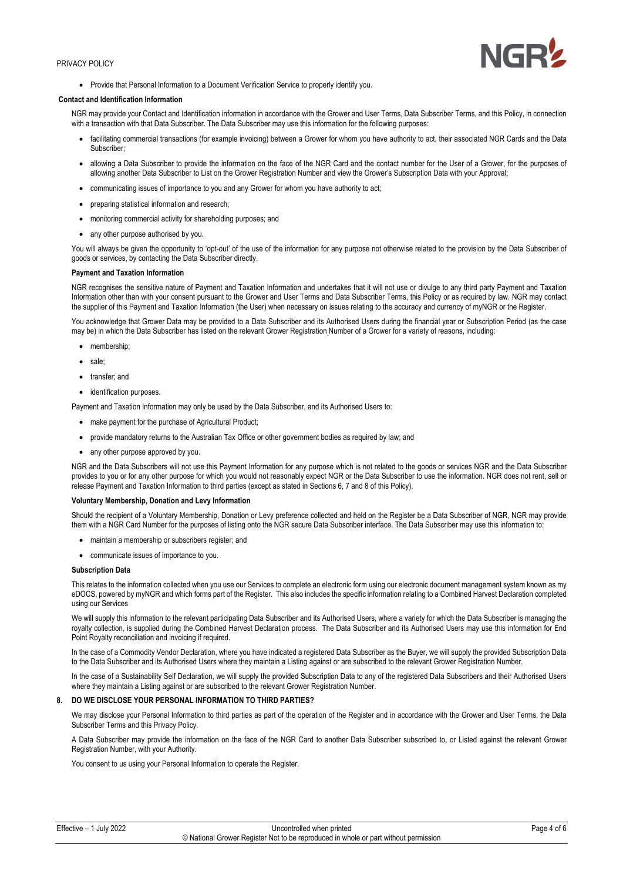

• Provide that Personal Information to a Document Verification Service to properly identify you.

#### **Contact and Identification Information**

NGR may provide your Contact and Identification information in accordance with the Grower and User Terms, Data Subscriber Terms, and this Policy, in connection with a transaction with that Data Subscriber. The Data Subscriber may use this information for the following purposes:

- facilitating commercial transactions (for example invoicing) between a Grower for whom you have authority to act, their associated NGR Cards and the Data Subscriber;
- allowing a Data Subscriber to provide the information on the face of the NGR Card and the contact number for the User of a Grower, for the purposes of allowing another Data Subscriber to List on the Grower Registration Number and view the Grower's Subscription Data with your Approval;
- communicating issues of importance to you and any Grower for whom you have authority to act;
- preparing statistical information and research;
- monitoring commercial activity for shareholding purposes; and
- any other purpose authorised by you.

You will always be given the opportunity to 'opt-out' of the use of the information for any purpose not otherwise related to the provision by the Data Subscriber of goods or services, by contacting the Data Subscriber directly.

## **Payment and Taxation Information**

NGR recognises the sensitive nature of Payment and Taxation Information and undertakes that it will not use or divulge to any third party Payment and Taxation Information other than with your consent pursuant to the Grower and User Terms and Data Subscriber Terms, this Policy or as required by law. NGR may contact the supplier of this Payment and Taxation Information (the User) when necessary on issues relating to the accuracy and currency of myNGR or the Register.

You acknowledge that Grower Data may be provided to a Data Subscriber and its Authorised Users during the financial year or Subscription Period (as the case may be) in which the Data Subscriber has listed on the relevant Grower Registration Number of a Grower for a variety of reasons, including:

- membership
- sale;
- transfer: and
- identification purposes.

Payment and Taxation Information may only be used by the Data Subscriber, and its Authorised Users to:

- make payment for the purchase of Agricultural Product:
- provide mandatory returns to the Australian Tax Office or other government bodies as required by law; and
- any other purpose approved by you.

NGR and the Data Subscribers will not use this Payment Information for any purpose which is not related to the goods or services NGR and the Data Subscriber provides to you or for any other purpose for which you would not reasonably expect NGR or the Data Subscriber to use the information. NGR does not rent, sell or release Payment and Taxation Information to third parties (except as stated in Sections 6, 7 and 8 of this Policy).

#### **Voluntary Membership, Donation and Levy Information**

Should the recipient of a Voluntary Membership, Donation or Levy preference collected and held on the Register be a Data Subscriber of NGR, NGR may provide them with a NGR Card Number for the purposes of listing onto the NGR secure Data Subscriber interface. The Data Subscriber may use this information to:

- maintain a membership or subscribers register; and
- communicate issues of importance to you.

## **Subscription Data**

This relates to the information collected when you use our Services to complete an electronic form using our electronic document management system known as my eDOCS, powered by myNGR and which forms part of the Register. This also includes the specific information relating to a Combined Harvest Declaration completed using our Services

We will supply this information to the relevant participating Data Subscriber and its Authorised Users, where a variety for which the Data Subscriber is managing the royalty collection, is supplied during the Combined Harvest Declaration process. The Data Subscriber and its Authorised Users may use this information for End Point Royalty reconciliation and invoicing if required.

In the case of a Commodity Vendor Declaration, where you have indicated a registered Data Subscriber as the Buyer, we will supply the provided Subscription Data to the Data Subscriber and its Authorised Users where they maintain a Listing against or are subscribed to the relevant Grower Registration Number.

In the case of a Sustainability Self Declaration, we will supply the provided Subscription Data to any of the registered Data Subscribers and their Authorised Users where they maintain a Listing against or are subscribed to the relevant Grower Registration Number.

#### **8. DO WE DISCLOSE YOUR PERSONAL INFORMATION TO THIRD PARTIES?**

We may disclose your Personal Information to third parties as part of the operation of the Register and in accordance with the Grower and User Terms, the Data Subscriber Terms and this Privacy Policy.

A Data Subscriber may provide the information on the face of the NGR Card to another Data Subscriber subscribed to, or Listed against the relevant Grower Registration Number, with your Authority.

You consent to us using your Personal Information to operate the Register.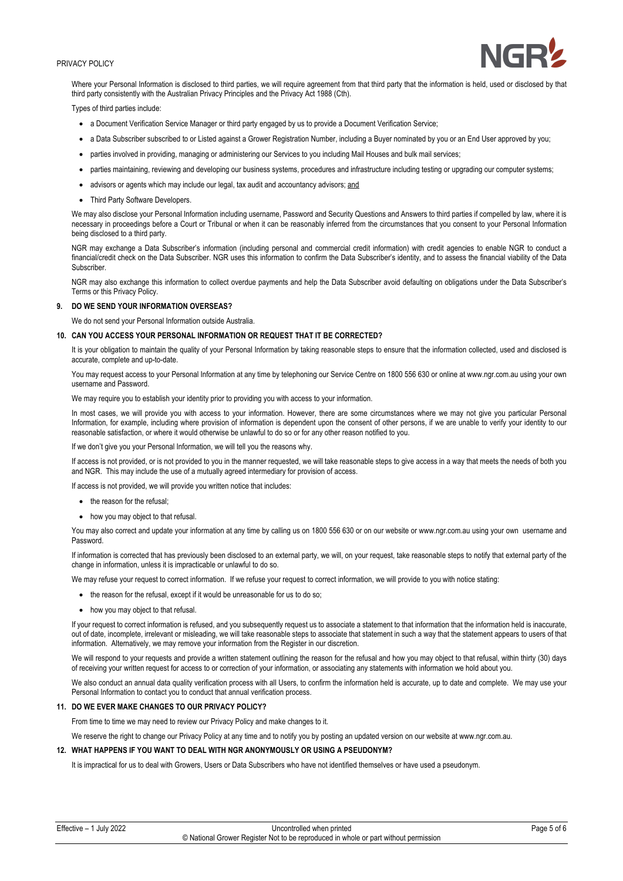

Where your Personal Information is disclosed to third parties, we will require agreement from that third party that the information is held, used or disclosed by that third party consistently with the Australian Privacy Principles and the Privacy Act 1988 (Cth).

Types of third parties include:

- a Document Verification Service Manager or third party engaged by us to provide a Document Verification Service;
- a Data Subscriber subscribed to or Listed against a Grower Registration Number, including a Buyer nominated by you or an End User approved by you;
- parties involved in providing, managing or administering our Services to you including Mail Houses and bulk mail services;
- parties maintaining, reviewing and developing our business systems, procedures and infrastructure including testing or upgrading our computer systems;
- advisors or agents which may include our legal, tax audit and accountancy advisors; and
- Third Party Software Developers.

We may also disclose your Personal Information including username, Password and Security Questions and Answers to third parties if compelled by law, where it is necessary in proceedings before a Court or Tribunal or when it can be reasonably inferred from the circumstances that you consent to your Personal Information being disclosed to a third party.

NGR may exchange a Data Subscriber's information (including personal and commercial credit information) with credit agencies to enable NGR to conduct a financial/credit check on the Data Subscriber. NGR uses this information to confirm the Data Subscriber's identity, and to assess the financial viability of the Data Subscriber.

NGR may also exchange this information to collect overdue payments and help the Data Subscriber avoid defaulting on obligations under the Data Subscriber's Terms or this Privacy Policy.

## **9. DO WE SEND YOUR INFORMATION OVERSEAS?**

We do not send your Personal Information outside Australia.

#### **10. CAN YOU ACCESS YOUR PERSONAL INFORMATION OR REQUEST THAT IT BE CORRECTED?**

It is your obligation to maintain the quality of your Personal Information by taking reasonable steps to ensure that the information collected, used and disclosed is accurate, complete and up-to-date.

You may request access to your Personal Information at any time by telephoning our Service Centre on 1800 556 630 or online at www.ngr.com.au using your own username and Password.

We may require you to establish your identity prior to providing you with access to your information.

In most cases, we will provide you with access to your information. However, there are some circumstances where we may not give you particular Personal Information, for example, including where provision of information is dependent upon the consent of other persons, if we are unable to verify your identity to our reasonable satisfaction, or where it would otherwise be unlawful to do so or for any other reason notified to you.

If we don't give you your Personal Information, we will tell you the reasons why.

If access is not provided, or is not provided to you in the manner requested, we will take reasonable steps to give access in a way that meets the needs of both you and NGR. This may include the use of a mutually agreed intermediary for provision of access.

If access is not provided, we will provide you written notice that includes:

- the reason for the refusal;
- how you may object to that refusal.

You may also correct and update your information at any time by calling us on 1800 556 630 or on our website or www.ngr.com.au using your own username and Password.

If information is corrected that has previously been disclosed to an external party, we will, on your request, take reasonable steps to notify that external party of the change in information, unless it is impracticable or unlawful to do so.

We may refuse your request to correct information. If we refuse your request to correct information, we will provide to you with notice stating:

- the reason for the refusal, except if it would be unreasonable for us to do so;
- how you may object to that refusal.

If your request to correct information is refused, and you subsequently request us to associate a statement to that information that the information held is inaccurate, out of date, incomplete, irrelevant or misleading, we will take reasonable steps to associate that statement in such a way that the statement appears to users of that information. Alternatively, we may remove your information from the Register in our discretion.

We will respond to your requests and provide a written statement outlining the reason for the refusal and how you may object to that refusal, within thirty (30) days of receiving your written request for access to or correction of your information, or associating any statements with information we hold about you.

We also conduct an annual data quality verification process with all Users, to confirm the information held is accurate, up to date and complete. We may use your Personal Information to contact you to conduct that annual verification process.

## **11. DO WE EVER MAKE CHANGES TO OUR PRIVACY POLICY?**

From time to time we may need to review our Privacy Policy and make changes to it.

We reserve the right to change our Privacy Policy at any time and to notify you by posting an updated version on our website at www.ngr.com.au.

## **12. WHAT HAPPENS IF YOU WANT TO DEAL WITH NGR ANONYMOUSLY OR USING A PSEUDONYM?**

It is impractical for us to deal with Growers, Users or Data Subscribers who have not identified themselves or have used a pseudonym.